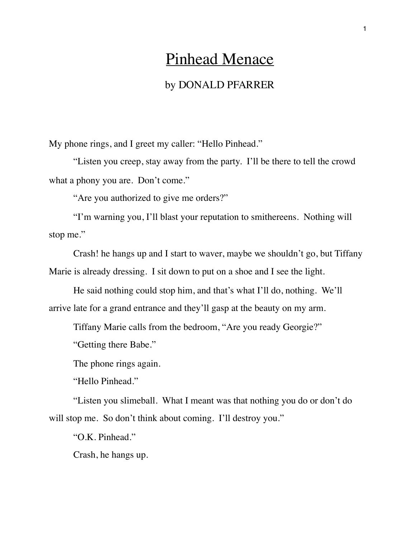## Pinhead Menace

## by DONALD PFARRER

My phone rings, and I greet my caller: "Hello Pinhead."

"Listen you creep, stay away from the party. I'll be there to tell the crowd what a phony you are. Don't come."

"Are you authorized to give me orders?"

"I'm warning you, I'll blast your reputation to smithereens. Nothing will stop me."

Crash! he hangs up and I start to waver, maybe we shouldn't go, but Tiffany Marie is already dressing. I sit down to put on a shoe and I see the light.

He said nothing could stop him, and that's what I'll do, nothing. We'll arrive late for a grand entrance and they'll gasp at the beauty on my arm.

Tiffany Marie calls from the bedroom, "Are you ready Georgie?"

"Getting there Babe."

The phone rings again.

"Hello Pinhead."

"Listen you slimeball. What I meant was that nothing you do or don't do will stop me. So don't think about coming. I'll destroy you."

"O.K. Pinhead."

Crash, he hangs up.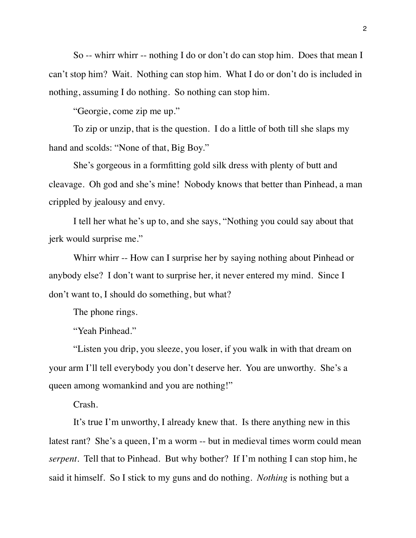So -- whirr whirr -- nothing I do or don't do can stop him. Does that mean I can't stop him? Wait. Nothing can stop him. What I do or don't do is included in nothing, assuming I do nothing. So nothing can stop him.

"Georgie, come zip me up."

To zip or unzip, that is the question. I do a little of both till she slaps my hand and scolds: "None of that, Big Boy."

She's gorgeous in a formfitting gold silk dress with plenty of butt and cleavage. Oh god and she's mine! Nobody knows that better than Pinhead, a man crippled by jealousy and envy.

I tell her what he's up to, and she says, "Nothing you could say about that jerk would surprise me."

Whirr whirr -- How can I surprise her by saying nothing about Pinhead or anybody else? I don't want to surprise her, it never entered my mind. Since I don't want to, I should do something, but what?

The phone rings.

"Yeah Pinhead."

"Listen you drip, you sleeze, you loser, if you walk in with that dream on your arm I'll tell everybody you don't deserve her. You are unworthy. She's a queen among womankind and you are nothing!"

Crash.

It's true I'm unworthy, I already knew that. Is there anything new in this latest rant? She's a queen, I'm a worm -- but in medieval times worm could mean *serpent*. Tell that to Pinhead. But why bother? If I'm nothing I can stop him, he said it himself. So I stick to my guns and do nothing. *Nothing* is nothing but a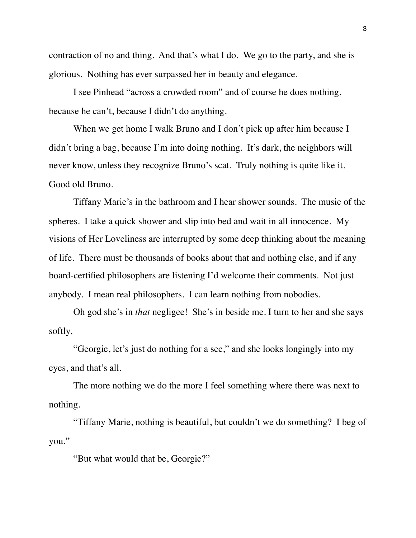contraction of no and thing. And that's what I do. We go to the party, and she is glorious. Nothing has ever surpassed her in beauty and elegance.

I see Pinhead "across a crowded room" and of course he does nothing, because he can't, because I didn't do anything.

When we get home I walk Bruno and I don't pick up after him because I didn't bring a bag, because I'm into doing nothing. It's dark, the neighbors will never know, unless they recognize Bruno's scat. Truly nothing is quite like it. Good old Bruno.

Tiffany Marie's in the bathroom and I hear shower sounds. The music of the spheres. I take a quick shower and slip into bed and wait in all innocence. My visions of Her Loveliness are interrupted by some deep thinking about the meaning of life. There must be thousands of books about that and nothing else, and if any board-certified philosophers are listening I'd welcome their comments. Not just anybody. I mean real philosophers. I can learn nothing from nobodies.

Oh god she's in *that* negligee! She's in beside me. I turn to her and she says softly,

"Georgie, let's just do nothing for a sec," and she looks longingly into my eyes, and that's all.

The more nothing we do the more I feel something where there was next to nothing.

"Tiffany Marie, nothing is beautiful, but couldn't we do something? I beg of you."

"But what would that be, Georgie?"